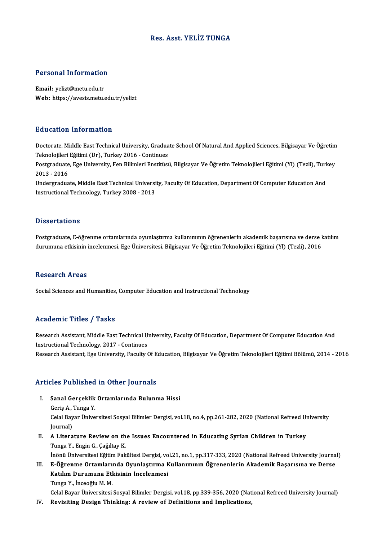### Res. Asst. YELİZ TUNGA

# Personal Information

Personal Information<br>Email: yelizt@metu.edu.tr<br>Web: https://avesis.mstv Email: yelizt@metu.edu.tr<br>Web: https://avesis.metu.edu.tr/yelizt

#### Education Information

**Education Information**<br>Doctorate, Middle East Technical University, Graduate School Of Natural And Applied Sciences, Bilgisayar Ve Öğretim<br>Teknolojileri Eğitimi (Dr.) Turkey 2016, Continues Ternologi Timor indecen<br>Doctorate, Middle East Technical University, Gradua<br>Teknolojileri Eğitimi (Dr), Turkey 2016 - Continues<br>Postanaduata, Ege University, Een Bilimleri Enstitüsi Doctorate, Middle East Technical University, Graduate School Of Natural And Applied Sciences, Bilgisayar Ve Öğretim<br>Teknolojileri Eğitimi (Dr), Turkey 2016 - Continues<br>Postgraduate, Ege University, Fen Bilimleri Enstitüsü,

Teknolojileri<br>Postgraduate<br>2013 - 2016<br>Undergradua Postgraduate, Ege University, Fen Bilimleri Enstitüsü, Bilgisayar Ve Öğretim Teknolojileri Eğitimi (Yl) (Tezli), Turl<br>2013 - 2016<br>Undergraduate, Middle East Technical University, Faculty Of Education, Department Of Compute

2013 - 2016<br>Undergraduate, Middle East Technical University, Faculty Of Education, Department Of Computer Education And<br>Instructional Technology, Turkey 2008 - 2013

#### **Dissertations**

Dissertations<br>Postgraduate, E-öğrenme ortamlarında oyunlaştırma kullanımının öğrenenlerin akademik başarısına ve derse katılım<br>dunumuna etkisinin ingelenmesi, Ese Üniversitesi, Bilgisayar Ve Öğretim Telmelejileri Eğitimi ( Dubbet tatromo<br>Postgraduate, E-öğrenme ortamlarında oyunlaştırma kullanımının öğrenenlerin akademik başarısına ve derse l<br>durumuna etkisinin incelenmesi, Ege Üniversitesi, Bilgisayar Ve Öğretim Teknolojileri Eğitimi (Yl) ( durumuna etkisinin incelenmesi, Ege Üniversitesi, Bilgisayar Ve Öğretim Teknolojileri Eğitimi (Yl) (Tezli), 2016<br>Research Areas

Social Sciences and Humanities, Computer Education and Instructional Technology

#### Academic Titles / Tasks

Academic Titles / Tasks<br>Research Assistant, Middle East Technical University, Faculty Of Education, Department Of Computer Education And Instructional Traces<br>Instructional Technology, 2017 - Continues<br>Instructional Technology, 2017 - Continues Instructional Technology, 2017 - Continues<br>Research Assistant, Ege University, Faculty Of Education, Bilgisayar Ve Öğretim Teknolojileri Eğitimi Bölümü, 2014 - 2016

#### Articles Published in Other Journals

- rticles Published in Other Journals<br>I. Sanal Gerçeklik Ortamlarında Bulunma Hissi<br>Geric A. Tunga Y 1995<br>1996 - Sanal Gerçeklik<br>Geriş A., Tunga Y.<br>Celal Bayar Üniye Sanal Gerçeklik Ortamlarında Bulunma Hissi<br>Geriş A., Tunga Y.<br>Celal Bayar Üniversitesi Sosyal Bilimler Dergisi, vol.18, no.4, pp.261-282, 2020 (National Refreed University<br>Journal) Geriş A., '<br>Celal Bay<br>Journal)<br>A Liters Celal Bayar Üniversitesi Sosyal Bilimler Dergisi, vol.18, no.4, pp.261-282, 2020 (National Refreed Un<br>Journal)<br>II. A Literature Review on the Issues Encountered in Educating Syrian Children in Turkey<br>Tunge Y. Engin G. Coğu
- Journal)<br>II. A Literature Review on the Issues Encountered in Educating Syrian Children in Turkey<br>Tunga Y., Engin G., Çağıltay K. A Literature Review on the Issues Encountered in Educating Syrian Children in Turkey<br>Tunga Y., Engin G., Çağıltay K.<br>İnönü Üniversitesi Eğitim Fakültesi Dergisi, vol.21, no.1, pp.317-333, 2020 (National Refreed University

Tunga Y., Engin G., Çağıltay K.<br>İnönü Üniversitesi Eğitim Fakültesi Dergisi, vol.21, no.1, pp.317-333, 2020 (National Refreed University Journa<br>III. E-Öğrenme Ortamlarında Oyunlaştırma Kullanımının Öğrenenlerin Akademi İnönü Üniversitesi Eğitim Fakültesi Dergisi, vo<br>E-Öğrenme Ortamlarında Oyunlaştırma K<br>Katılım Durumuna Etkisinin İncelenmesi<br><sup>Tunga V. İnceeğlu M. M.</sup> E-Öğrenme Ortamları<br>Katılım Durumuna Etl<br>Tunga Y., İnceoğlu M. M.<br>Celal Bayar Üniversitesi Katılım Durumuna Etkisinin İncelenmesi<br>Tunga Y., İnceoğlu M. M.<br>Celal Bayar Üniversitesi Sosyal Bilimler Dergisi, vol.18, pp.339-356, 2020 (National Refreed University Journal)

IV. Revisiting Design Thinking: A reviewof Definitions and Implications,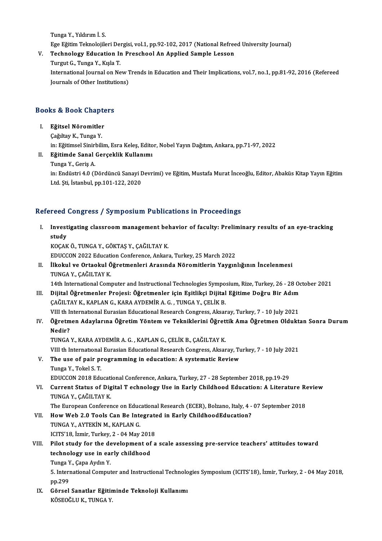TungaY.,Yıldırımİ.S. Tunga Y., Yıldırım İ. S.<br>Ege Eğitim Teknolojileri Dergisi, vol.1, pp.92-102, 2017 (National Refreed University Journal)<br>Teshnology Edusation In Presshool An Annlied Sample Lessen Tunga Y., Yıldırım İ. S.<br>Ege Eğitim Teknolojileri Dergisi, vol.1, pp.92-102, 2017 (National Refree<br>V. Technology Education In Preschool An Applied Sample Lesson<br>Turgut G. Tunga Y. Kisla T.

Ege Eğitim Teknolojileri Dei<br><mark>Technology Education Ir</mark><br>Turgut G., Tunga Y., Kışla T.<br>International Journal on Na Technology Education In Preschool An Applied Sample Lesson<br>Turgut G., Tunga Y., Kışla T.<br>International Journal on New Trends in Education and Their Implications, vol.7, no.1, pp.81-92, 2016 (Refereed<br>Journals of Other Inst Turgut G., Tunga Y., Kışla T.<br>International Journal on New T<br>Journals of Other Institutions)

# <sub>Journais of Other Institute</sub><br>Books & Book Chapters

# ooks & Book Chapte<br>I. Eğitsel Nöromitler<br>Coğltav K. Tunga Y I. Eğitsel Nöromitler<br>Çağıltay K., Tunga Y.

Eğitsel Nöromitler<br>Çağıltay K., Tunga Y.<br>in: Eğitimsel Sinirbilim, Esra Keleş, Editor, Nobel Yayın Dağıtım, Ankara, pp.71-97, 2022<br>Eğitimde Sanal Geneaklik Kullanımı

## II. Eğitimde Sanal Gerçeklik Kullanımı<br>Tunga Y., Geriş A. in: Eğitimsel Sinirl<br>**Eğitimde Sanal**<br>Tunga Y., Geriş A.<br>in: Endüstri 4.0 (I

E<mark>ğitimde Sanal Gerçeklik Kullanımı</mark><br>Tunga Y., Geriş A.<br>in: Endüstri 4.0 (Dördüncü Sanayi Devrimi) ve Eğitim, Mustafa Murat İnceoğlu, Editor, Abaküs Kitap Yayın Eğitim Tunga Y., Geriş A.<br>in: Endüstri 4.0 (Dördüncü Sanayi I<br>Ltd. Şti, İstanbul, pp.101-122, 2020

# Ltd. Ști, İstanbul, pp.101-122, 2020<br>Refereed Congress / Symposium Publications in Proceedings

efereed Congress / Symposium Publications in Proceedings<br>I. Investigating classroom management behavior of faculty: Preliminary results of an eye-tracking<br>study reed<br>Invest<br>study<br><sub>KOCAR</sub> study<br>KOÇAK Ö., TUNGA Y., GÖKTAŞ Y., ÇAĞILTAY K. study<br>KOÇAK Ö., TUNGA Y., GÖKTAŞ Y., ÇAĞILTAY K.<br>EDUCCON 2022 Education Conference, Ankara, Turkey, 25 March 2022<br>İlkokul ve Ortaskul Öğretmenleri Arasında Nöremitlerin Yavgır

### II. İlkokul ve Ortaokul Öğretmenleri Arasında Nöromitlerin Yaygınlığının İncelenmesi<br>TUNGA Y., CAĞILTAY K. EDUCCON 2022 Educati<br>İlkokul ve Ortaokul Ö<br>TUNGA Y., ÇAĞILTAY K.<br>14th International Cerry İlkokul ve Ortaokul Öğretmenleri Arasında Nöromitlerin Yaygınlığının İncelenmesi<br>TUNGA Y., ÇAĞILTAY K.<br>14th International Computer and Instructional Technologies Symposium, Rize, Turkey, 26 - 28 October 2021<br>Dijital Öğretm TUNGA Y., ÇAĞILTAY K.<br>14th International Computer and Instructional Technologies Symposium, Rize, Turkey, 26 - 28 Oc<br>III. Dijital Öğretmenler Projesi: Öğretmenler için Eşitlikçi Dijital Eğitime Doğru Bir Adım<br>CAĞILTAY V. K 14th International Computer and Instructional Technologies Sympo<br>Dijital Öğretmenler Projesi: Öğretmenler için Eşitlikçi Dijital<br>ÇAĞILTAY K., KAPLAN G., KARA AYDEMİR A. G. , TUNGA Y., ÇELİK B.<br>VIII th International Eurosia Dijital Öğretmenler Projesi: Öğretmenler için Eşitlikçi Dijital Eğitime Doğru Bir Adım<br>ÇAĞILTAY K., KAPLAN G., KARA AYDEMİR A. G. , TUNGA Y., ÇELİK B.<br>VIII th International Eurasian Educational Research Congress, Aksaray,

VIII th International Eurasian Educational Research Congress, Aksaray, Turkey, 7 - 10 July 2021

# ÇAĞILTAY K., KAPLAN G., KARA AYDEMİR A. G. , TUNGA Y., ÇELİK B.<br>1997-YIII th International Eurasian Educational Research Congress, Aksaray, Turkey, 7 - 10 July 2021<br>1997- V. Öğretmen Adaylarına Öğretim Yöntem ve Teknikleri

TUNGA Y., KARA AYDEMİR A. G., KAPLAN G., ÇELİK B., ÇAĞILTAY K.

VIII th International Eurasian Educational Research Congress, Aksaray, Turkey, 7 - 10 July 2021

V. The use of pair programming in education: A systematic Review Tunga Y., Tokel S.T. The use of pair programming in education: A systematic Review<br>Tunga Y., Tokel S. T.<br>EDUCCON 2018 Educational Conference, Ankara, Turkey, 27 - 28 September 2018, pp.19-29<br>Current Status of Digital T ashnology Use in Farly C

VI. Current Status of Digital T echnology Use in Early Childhood Education: A Literature Review EDUCCON 2018 Educati<br>Current Status of Dig<br>TUNGA Y., ÇAĞILTAY K.<br>The Euronean Conferen

The European Conference on Educational Research (ECER), Bolzano, Italy, 4 - 07 September 2018 TUNGA Y., ÇAĞILTAY K.<br>The European Conference on Educational Research (ECER), Bolzano, Italy, 4 -<br>VII. How Web 2.0 Tools Can Be Integrated in Early ChildhoodEducation?<br>TINGA Y. AVTEVIN M. KABLAN G.

The European Conference on Educ<br>How Web 2.0 Tools Can Be Inte<br>TUNGA Y., AYTEKİN M., KAPLAN G.<br>ICITS'19 İzmir Turkay 2.04 May How Web 2.0 Tools Can Be Integrate<br>TUNGA Y., AYTEKİN M., KAPLAN G.<br>ICITS'18, İzmir, Turkey, 2 - 04 May 2018<br>Bilet study for the development of a TUNGA Y., AYTEKİN M., KAPLAN G.<br>ICITS'18, İzmir, Turkey, 2 - 04 May 2018<br>VIII. Pilot study for the development of a scale assessing pre-service teachers' attitudes toward<br>technology use in early childhood

## ICITS'18, İzmir, Turkey, 2 - 04 May 2011<br>Pilot study for the development of<br>technology use in early childhood<br>Tunga Y, Cana Aydın Y technology use in early childhood

Tunga Y., Capa Aydın Y.

5. International Computer and Instructional Technologies Symposium (ICITS'18), İzmir, Turkey, 2 - 04 May 2018,<br>pp.299 5. International Computer and Instructional Technolo<br>pp.299<br>IX. Görsel Sanatlar Eğitiminde Teknoloji Kullanımı<br>*v*ösroğlu ve Tinca y

pp.299<br>Görsel Sanatlar Eğitir<br>KÖSEOĞLU K., TUNGA Y.